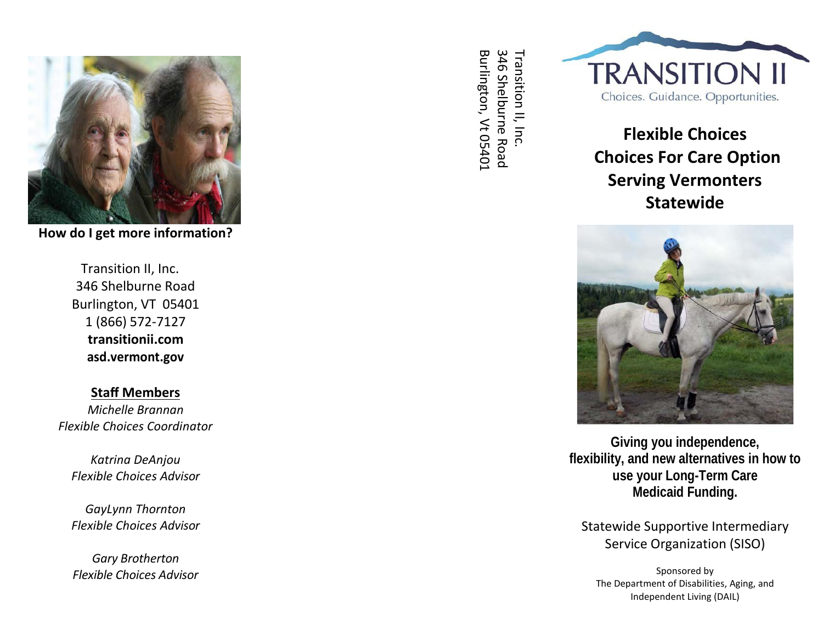

**How do I get more information?**

Transition II, Inc. 346 Shelburne Road Burlington, VT 05401 1 (866) 572‐7127 **transitionii.com asd.vermont.gov**

# **Staff Members**

*Michelle Brannan Flexible Choices Coordinator*

*Katrina DeAnjou Flexible Choices Advisor*

*GayLynn Thornton Flexible Choices Advisor*

*Gary Brotherton Flexible Choices Advisor* Burlington, Vt 05401 Transition II, Inc.<br>346 Shelburne Road Transition II, Inc.Burlington, Vt 05401 346 Shelburne Road



# **Flexible Choices Choices For Care Option Serving Vermonters Statewide**



**Giving you independence, flexibility, and new alternatives in how to use your Long -Term Care Medicaid Funding.**

Statewide Supportive Intermediary Service Organization (SISO)

Sponsored by The Department of Disabilities, Aging, and Independent Living (DAIL)